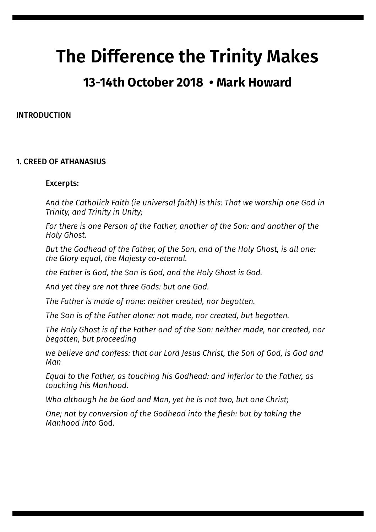# **The Difference the Trinity Makes**

# **13-14th October 2018 • Mark Howard**

#### INTRODUCTION

## 1. CREED OF ATHANASIUS

#### Excerpts:

*And the Catholick Faith (ie universal faith) is this: That we worship one God in Trinity, and Trinity in Unity;* 

*For there is one Person of the Father, another of the Son: and another of the Holy Ghost.* 

*But the Godhead of the Father, of the Son, and of the Holy Ghost, is all one: the Glory equal, the Majesty co-eternal.* 

*the Father is God, the Son is God, and the Holy Ghost is God.* 

*And yet they are not three Gods: but one God.* 

*The Father is made of none: neither created, nor begotten.* 

*The Son is of the Father alone: not made, nor created, but begotten.* 

*The Holy Ghost is of the Father and of the Son: neither made, nor created, nor begotten, but proceeding* 

*we believe and confess: that our Lord Jesus Christ, the Son of God, is God and Man* 

*Equal to the Father, as touching his Godhead: and inferior to the Father, as touching his Manhood.* 

*Who although he be God and Man, yet he is not two, but one Christ;* 

*One; not by conversion of the Godhead into the flesh: but by taking the Manhood into* God.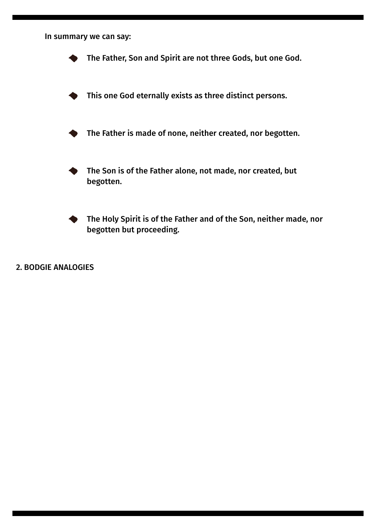In summary we can say: The Father, Son and Spirit are not three Gods, but one God. This one God eternally exists as three distinct persons. The Father is made of none, neither created, nor begotten. The Son is of the Father alone, not made, nor created, but begotten. The Holy Spirit is of the Father and of the Son, neither made, nor begotten but proceeding.

2. BODGIE ANALOGIES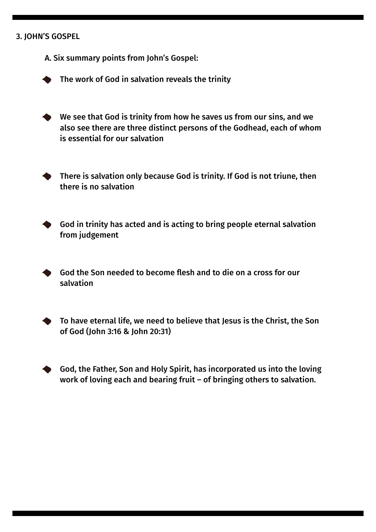### 3. JOHN'S GOSPEL

A. Six summary points from John's Gospel:

The work of God in salvation reveals the trinity

We see that God is trinity from how he saves us from our sins, and we also see there are three distinct persons of the Godhead, each of whom is essential for our salvation



There is salvation only because God is trinity. If God is not triune, then there is no salvation



God in trinity has acted and is acting to bring people eternal salvation from judgement

God the Son needed to become flesh and to die on a cross for our salvation

To have eternal life, we need to believe that Jesus is the Christ, the Son of God (John 3:16 & John 20:31)

God, the Father, Son and Holy Spirit, has incorporated us into the loving work of loving each and bearing fruit – of bringing others to salvation.